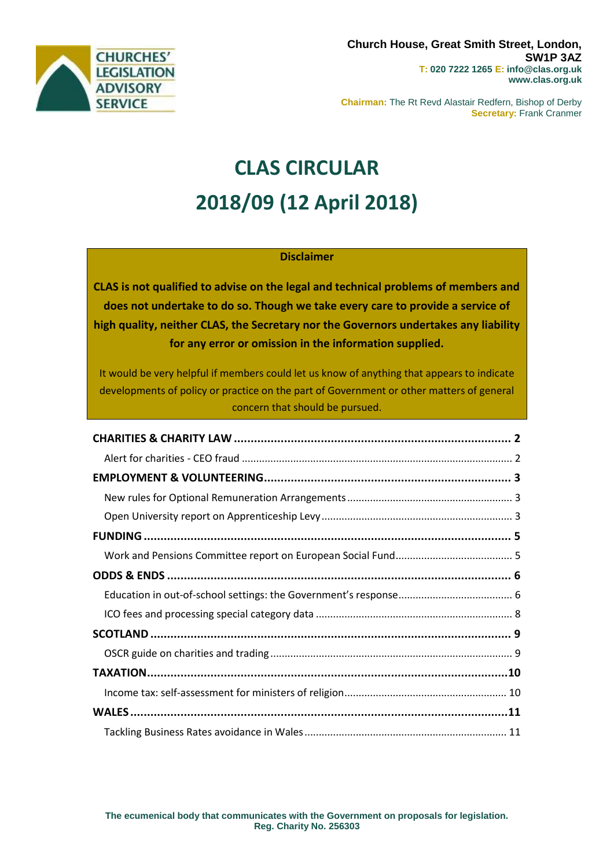

**Chairman:** The Rt Revd Alastair Redfern, Bishop of Derby **Secretary:** Frank Cranmer

# **CLAS CIRCULAR 2018/09 (12 April 2018)**

#### **Disclaimer**

**CLAS is not qualified to advise on the legal and technical problems of members and does not undertake to do so. Though we take every care to provide a service of high quality, neither CLAS, the Secretary nor the Governors undertakes any liability for any error or omission in the information supplied.**

It would be very helpful if members could let us know of anything that appears to indicate developments of policy or practice on the part of Government or other matters of general concern that should be pursued.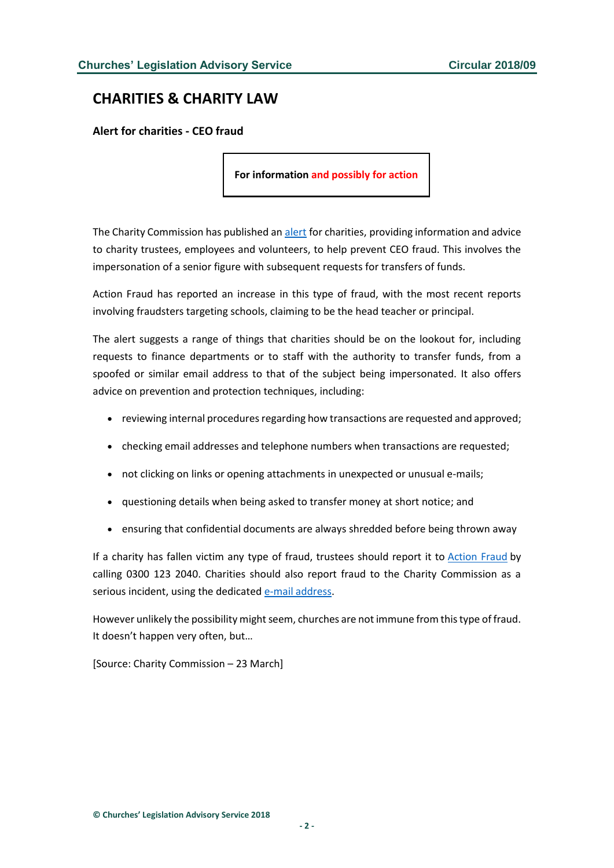# <span id="page-1-0"></span>**CHARITIES & CHARITY LAW**

<span id="page-1-1"></span>**Alert for charities - CEO fraud**

**For information and possibly for action**

The Charity Commission has published an [alert](http://www.gov.uk/government/news/alert-for-charities-watch-out-for-ceo-fraud) for charities, providing information and advice to charity trustees, employees and volunteers, to help prevent CEO fraud. This involves the impersonation of a senior figure with subsequent requests for transfers of funds.

Action Fraud has reported an increase in this type of fraud, with the most recent reports involving fraudsters targeting schools, claiming to be the head teacher or principal.

The alert suggests a range of things that charities should be on the lookout for, including requests to finance departments or to staff with the authority to transfer funds, from a spoofed or similar email address to that of the subject being impersonated. It also offers advice on prevention and protection techniques, including:

- reviewing internal procedures regarding how transactions are requested and approved;
- checking email addresses and telephone numbers when transactions are requested;
- not clicking on links or opening attachments in unexpected or unusual e-mails;
- questioning details when being asked to transfer money at short notice; and
- ensuring that confidential documents are always shredded before being thrown away

If a charity has fallen victim any type of fraud, trustees should report it to [Action Fraud](http://www.actionfraud.police.uk/) by calling 0300 123 2040. Charities should also report fraud to the Charity Commission as a serious incident, using the dedicated [e-mail address.](mailto:rsi@charitycommission.gsi.gov.uk)

However unlikely the possibility might seem, churches are not immune from this type of fraud. It doesn't happen very often, but…

[Source: Charity Commission – 23 March]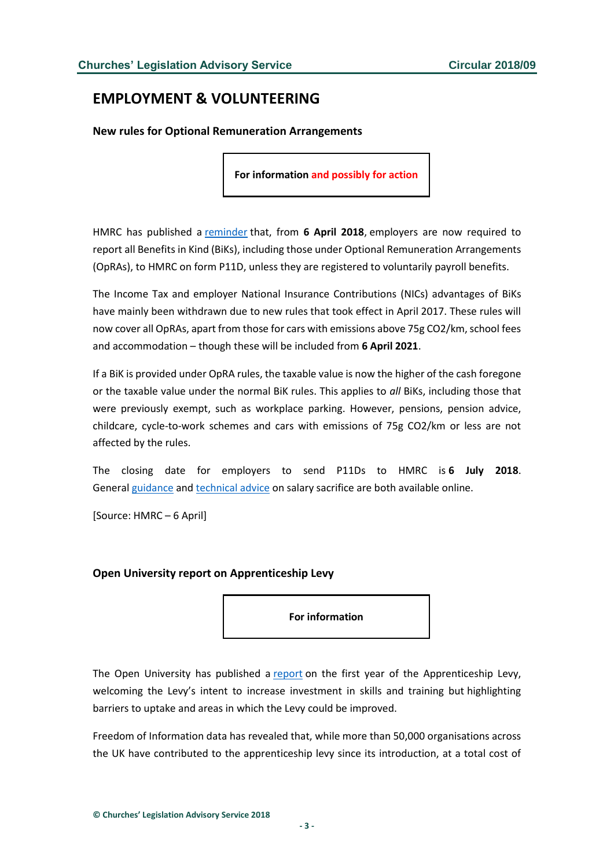## <span id="page-2-0"></span>**EMPLOYMENT & VOLUNTEERING**

<span id="page-2-1"></span>**New rules for Optional Remuneration Arrangements**

**For information and possibly for action**

HMRC has published a [reminder](http://www.gov.uk/government/news/employers-need-to-provide-details-for-all-benefits-in-kind) that, from **6 April 2018**, employers are now required to report all Benefits in Kind (BiKs), including those under Optional Remuneration Arrangements (OpRAs), to HMRC on form P11D, unless they are registered to voluntarily payroll benefits.

The Income Tax and employer National Insurance Contributions (NICs) advantages of BiKs have mainly been withdrawn due to new rules that took effect in April 2017. These rules will now cover all OpRAs, apart from those for cars with emissions above 75g CO2/km, school fees and accommodation – though these will be included from **6 April 2021**.

If a BiK is provided under OpRA rules, the taxable value is now the higher of the cash foregone or the taxable value under the normal BiK rules. This applies to *all* BiKs, including those that were previously exempt, such as workplace parking. However, pensions, pension advice, childcare, cycle-to-work schemes and cars with emissions of 75g CO2/km or less are not affected by the rules.

The closing date for employers to send P11Ds to HMRC is **6 July 2018**. General [guidance](http://www.gov.uk/guidance/salary-sacrifice-and-the-effects-on-paye) and [technical advice](http://www.gov.uk/hmrc-internal-manuals/employment-income-manual/eim44000) on salary sacrifice are both available online.

[Source: HMRC – 6 April]

#### <span id="page-2-2"></span>**Open University report on Apprenticeship Levy**

**For information**

The Open University has published a [report](http://www.open.ac.uk/business/sites/www.open.ac.uk.business/files/files/apprenticeship-levy-one-year-on.pdf) on the first year of the Apprenticeship Levy, welcoming the Levy's intent to increase investment in skills and training but highlighting barriers to uptake and areas in which the Levy could be improved.

Freedom of Information data has revealed that, while more than 50,000 organisations across the UK have contributed to the apprenticeship levy since its introduction, at a total cost of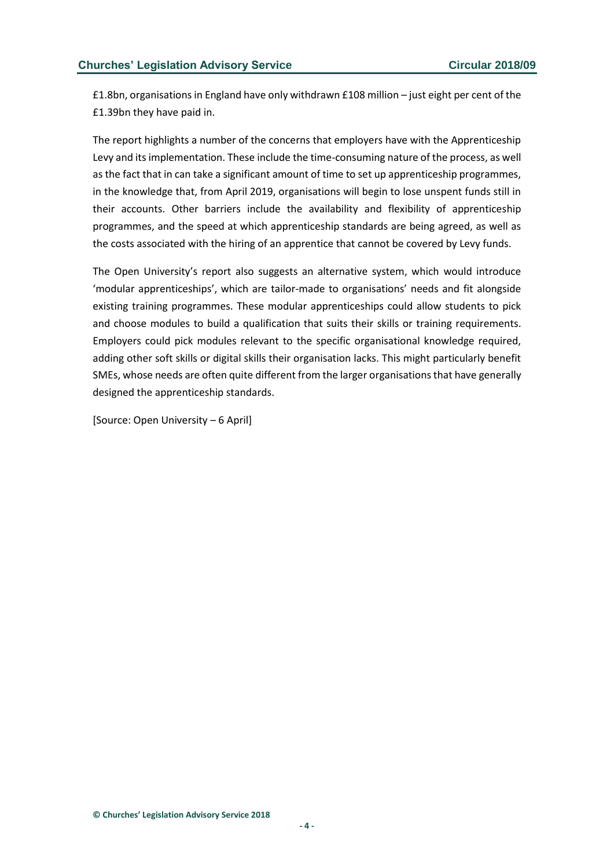£1.8bn, organisations in England have only withdrawn £108 million – just eight per cent of the £1.39bn they have paid in.

The report highlights a number of the concerns that employers have with the Apprenticeship Levy and its implementation. These include the time-consuming nature of the process, as well as the fact that in can take a significant amount of time to set up apprenticeship programmes, in the knowledge that, from April 2019, organisations will begin to lose unspent funds still in their accounts. Other barriers include the availability and flexibility of apprenticeship programmes, and the speed at which apprenticeship standards are being agreed, as well as the costs associated with the hiring of an apprentice that cannot be covered by Levy funds.

The Open University's report also suggests an alternative system, which would introduce 'modular apprenticeships', which are tailor-made to organisations' needs and fit alongside existing training programmes. These modular apprenticeships could allow students to pick and choose modules to build a qualification that suits their skills or training requirements. Employers could pick modules relevant to the specific organisational knowledge required, adding other soft skills or digital skills their organisation lacks. This might particularly benefit SMEs, whose needs are often quite different from the larger organisations that have generally designed the apprenticeship standards.

[Source: Open University – 6 April]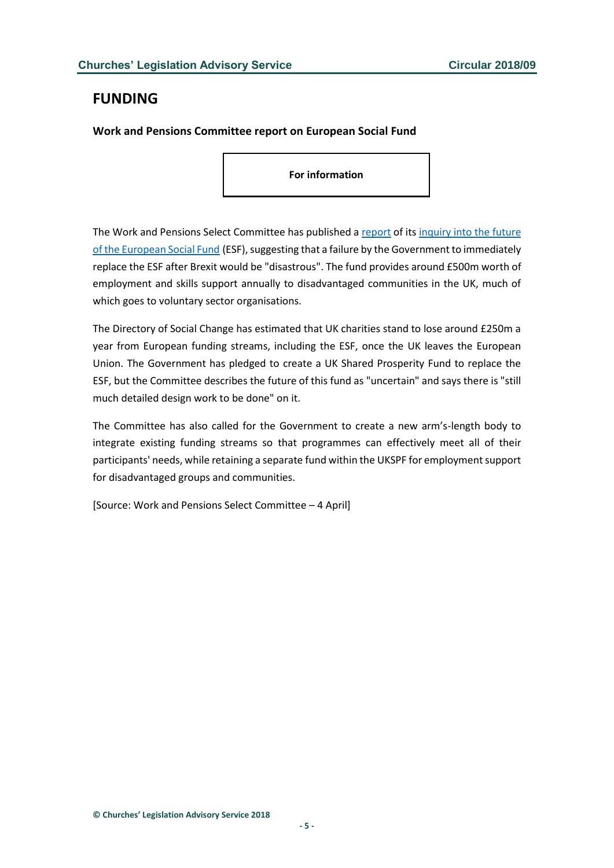#### <span id="page-4-0"></span>**FUNDING**

<span id="page-4-1"></span>**Work and Pensions Committee report on European Social Fund**

**For information**

The Work and Pensions Select Committee has published a [report](http://publications.parliament.uk/pa/cm201719/cmselect/cmworpen/848/848.pdf) of its [inquiry into the future](http://www.parliament.uk/business/committees/committees-a-z/commons-select/work-and-pensions-committee/inquiries/parliament-2017/european-social-care-fund-17-19/)  [of the European Social Fund](http://www.parliament.uk/business/committees/committees-a-z/commons-select/work-and-pensions-committee/inquiries/parliament-2017/european-social-care-fund-17-19/) (ESF), suggesting that a failure by the Government to immediately replace the ESF after Brexit would be "disastrous". The fund provides around £500m worth of employment and skills support annually to disadvantaged communities in the UK, much of which goes to voluntary sector organisations.

The Directory of Social Change has estimated that UK charities stand to lose around £250m a year from European funding streams, including the ESF, once the UK leaves the European Union. The Government has pledged to create a UK Shared Prosperity Fund to replace the ESF, but the Committee describes the future of this fund as "uncertain" and says there is "still much detailed design work to be done" on it.

The Committee has also called for the Government to create a new arm's-length body to integrate existing funding streams so that programmes can effectively meet all of their participants' needs, while retaining a separate fund within the UKSPF for employment support for disadvantaged groups and communities.

[Source: Work and Pensions Select Committee – 4 April]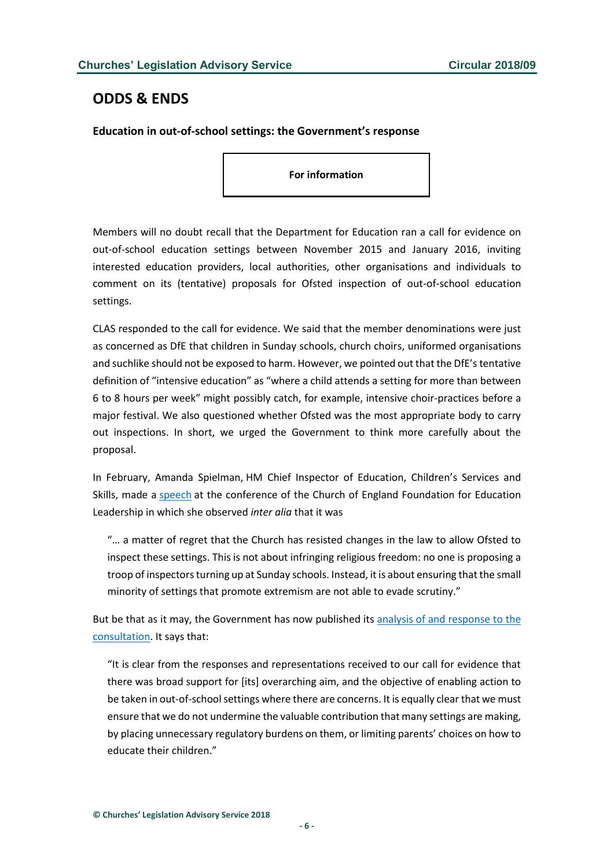#### <span id="page-5-0"></span>**ODDS & ENDS**

<span id="page-5-1"></span>**Education in out-of-school settings: the Government's response**

**For information**

Members will no doubt recall that the Department for Education ran a call for evidence on out-of-school education settings between November 2015 and January 2016, inviting interested education providers, local authorities, other organisations and individuals to comment on its (tentative) proposals for Ofsted inspection of out-of-school education settings.

CLAS responded to the call for evidence. We said that the member denominations were just as concerned as DfE that children in Sunday schools, church choirs, uniformed organisations and suchlike should not be exposed to harm. However, we pointed out that the DfE's tentative definition of "intensive education" as "where a child attends a setting for more than between 6 to 8 hours per week" might possibly catch, for example, intensive choir-practices before a major festival. We also questioned whether Ofsted was the most appropriate body to carry out inspections. In short, we urged the Government to think more carefully about the proposal.

In February, Amanda Spielman, HM Chief Inspector of Education, Children's Services and Skills, made a [speech](https://www.gov.uk/government/speeches/amanda-spielmans-speech-at-the-church-of-england-foundation-for-education-leadership) at the conference of the Church of England Foundation for Education Leadership in which she observed *inter alia* that it was

"… a matter of regret that the Church has resisted changes in the law to allow Ofsted to inspect these settings. This is not about infringing religious freedom: no one is proposing a troop of inspectors turning up at Sunday schools. Instead, it is about ensuring that the small minority of settings that promote extremism are not able to evade scrutiny."

But be that as it may, the Government has now published it[s analysis of and response to the](https://assets.publishing.service.gov.uk/government/uploads/system/uploads/attachment_data/file/698250/Out-of-school_education_settings-Report_on_the_call_for-evidence.pdf)  [consultation.](https://assets.publishing.service.gov.uk/government/uploads/system/uploads/attachment_data/file/698250/Out-of-school_education_settings-Report_on_the_call_for-evidence.pdf) It says that:

"It is clear from the responses and representations received to our call for evidence that there was broad support for [its] overarching aim, and the objective of enabling action to be taken in out-of-school settings where there are concerns. It is equally clear that we must ensure that we do not undermine the valuable contribution that many settings are making, by placing unnecessary regulatory burdens on them, or limiting parents' choices on how to educate their children."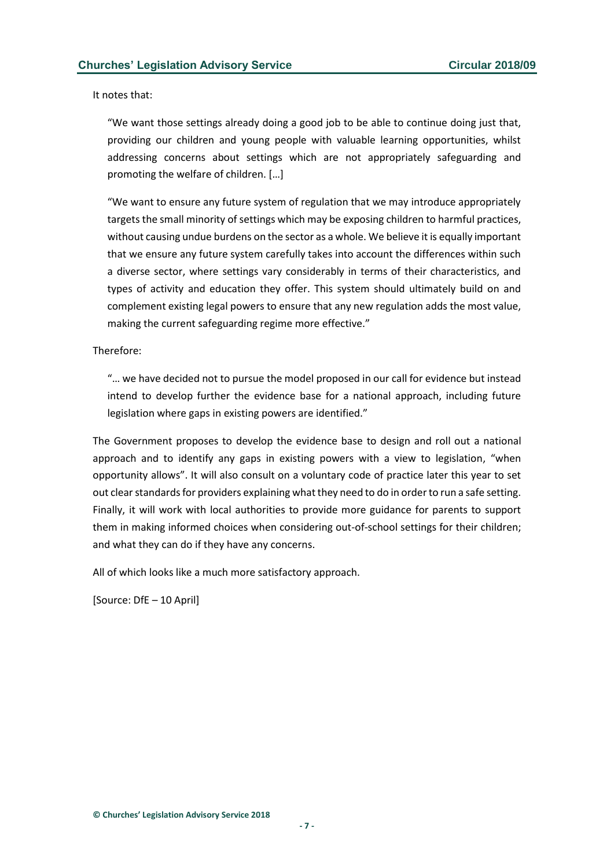It notes that:

"We want those settings already doing a good job to be able to continue doing just that, providing our children and young people with valuable learning opportunities, whilst addressing concerns about settings which are not appropriately safeguarding and promoting the welfare of children. […]

"We want to ensure any future system of regulation that we may introduce appropriately targets the small minority of settings which may be exposing children to harmful practices, without causing undue burdens on the sector as a whole. We believe it is equally important that we ensure any future system carefully takes into account the differences within such a diverse sector, where settings vary considerably in terms of their characteristics, and types of activity and education they offer. This system should ultimately build on and complement existing legal powers to ensure that any new regulation adds the most value, making the current safeguarding regime more effective."

#### Therefore:

"… we have decided not to pursue the model proposed in our call for evidence but instead intend to develop further the evidence base for a national approach, including future legislation where gaps in existing powers are identified."

The Government proposes to develop the evidence base to design and roll out a national approach and to identify any gaps in existing powers with a view to legislation, "when opportunity allows". It will also consult on a voluntary code of practice later this year to set out clear standards for providers explaining what they need to do in order to run a safe setting. Finally, it will work with local authorities to provide more guidance for parents to support them in making informed choices when considering out-of-school settings for their children; and what they can do if they have any concerns.

All of which looks like a much more satisfactory approach.

[Source: DfE – 10 April]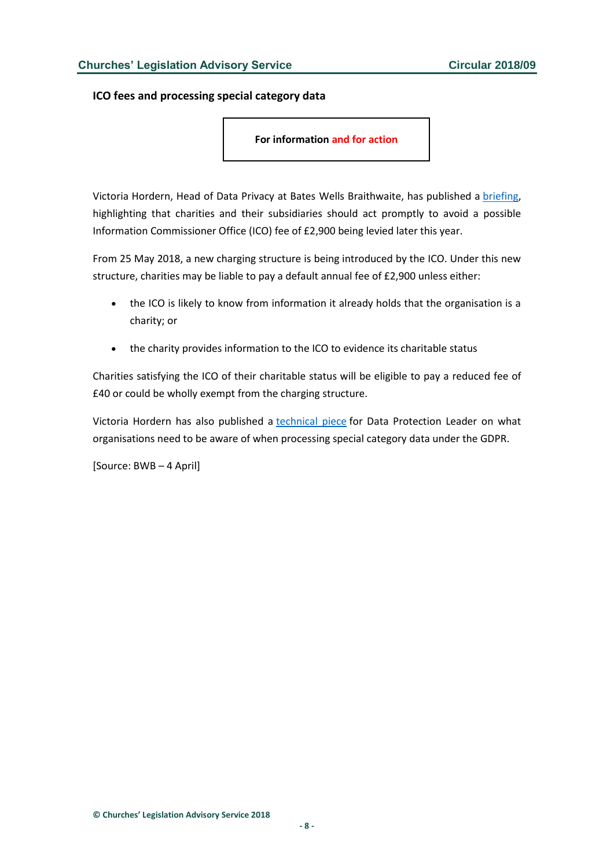<span id="page-7-0"></span>**ICO fees and processing special category data**

**For information and for action**

Victoria Hordern, Head of Data Privacy at Bates Wells Braithwaite, has published a [briefing,](http://www.bwbllp.com/knowledge/updates/2018/04/04/new-data-protection-charging-structure/) highlighting that charities and their subsidiaries should act promptly to avoid a possible Information Commissioner Office (ICO) fee of £2,900 being levied later this year.

From 25 May 2018, a new charging structure is being introduced by the ICO. Under this new structure, charities may be liable to pay a default annual fee of £2,900 unless either:

- the ICO is likely to know from information it already holds that the organisation is a charity; or
- the charity provides information to the ICO to evidence its charitable status

Charities satisfying the ICO of their charitable status will be eligible to pay a reduced fee of £40 or could be wholly exempt from the charging structure.

Victoria Hordern has also published a [technical piece](http://www.bwbllp.com/file/dpl-march-18-victoria-hordern-article-pdf) for Data Protection Leader on what organisations need to be aware of when processing special category data under the GDPR.

[Source: BWB – 4 April]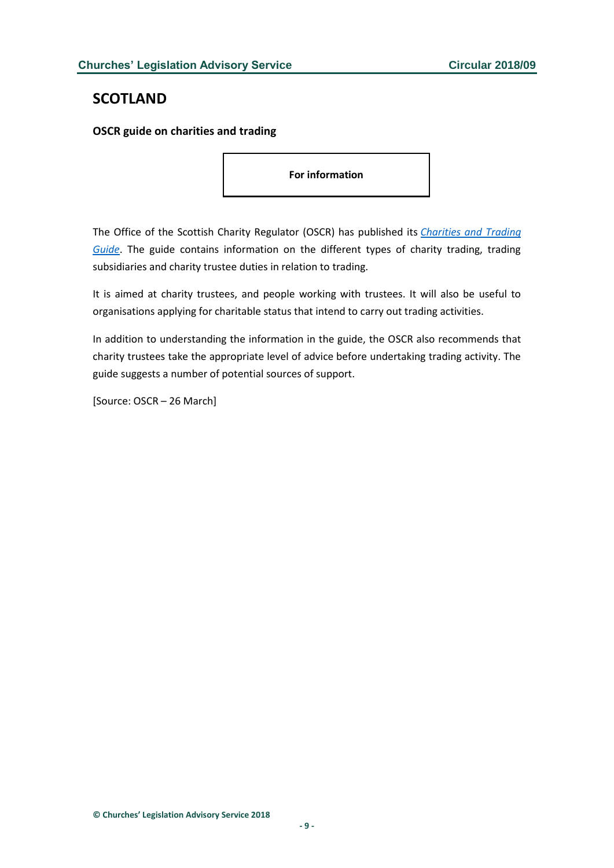#### <span id="page-8-0"></span>**SCOTLAND**

<span id="page-8-1"></span>**OSCR guide on charities and trading**

**For information**

The Office of the Scottish Charity Regulator (OSCR) has published its *[Charities and Trading](http://www.oscr.org.uk/guidance-and-forms/charities-and-trading-guide)  [Guide](http://www.oscr.org.uk/guidance-and-forms/charities-and-trading-guide)*. The guide contains information on the different types of charity trading, trading subsidiaries and charity trustee duties in relation to trading.

It is aimed at charity trustees, and people working with trustees. It will also be useful to organisations applying for charitable status that intend to carry out trading activities.

In addition to understanding the information in the guide, the OSCR also recommends that charity trustees take the appropriate level of advice before undertaking trading activity. The guide suggests a number of potential sources of support.

[Source: OSCR – 26 March]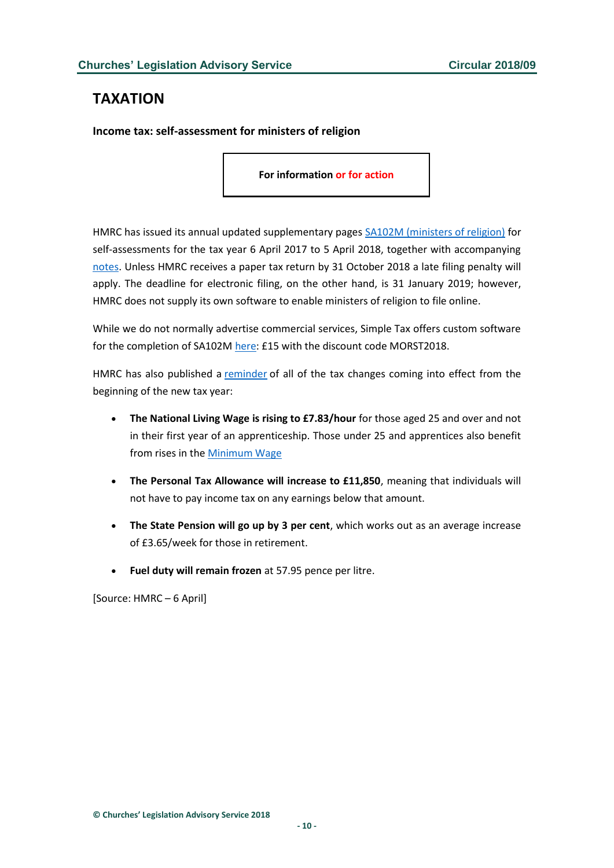## <span id="page-9-0"></span>**TAXATION**

<span id="page-9-1"></span>**Income tax: self-assessment for ministers of religion**

**For information or for action**

HMRC has issued its annual updated supplementary pages **SA102M** (ministers of religion) for self-assessments for the tax year 6 April 2017 to 5 April 2018, together with accompanying [notes.](https://assets.publishing.service.gov.uk/government/uploads/system/uploads/attachment_data/file/687570/sa102m-notes-2018.pdf) Unless HMRC receives a paper tax return by 31 October 2018 a late filing penalty will apply. The deadline for electronic filing, on the other hand, is 31 January 2019; however, HMRC does not supply its own software to enable ministers of religion to file online.

While we do not normally advertise commercial services, Simple Tax offers custom software for the completion of SA102M [here:](https://l.gosimpletax.com/ministers-of-religion-tax-return/) £15 with the discount code MORST2018.

HMRC has also published a [reminder](http://www.gov.uk/government/news/april-tax-changes-2018-what-do-they-mean-for-you) of all of the tax changes coming into effect from the beginning of the new tax year:

- **The National Living Wage is rising to £7.83/hour** for those aged 25 and over and not in their first year of an apprenticeship. Those under 25 and apprentices also benefit from rises in the [Minimum Wage](http://checkyourpay.campaign.gov.uk/?utm_campaign=nmw-nlw-2018&utm_source=facebook.com&utm_medium=social&utm_content=stakeholder-hmt#aL6M4jTZOif5ZM5w.97)
- **The Personal Tax Allowance will increase to £11,850**, meaning that individuals will not have to pay income tax on any earnings below that amount.
- **The State Pension will go up by 3 per cent**, which works out as an average increase of £3.65/week for those in retirement.
- **Fuel duty will remain frozen** at 57.95 pence per litre.

[Source: HMRC – 6 April]